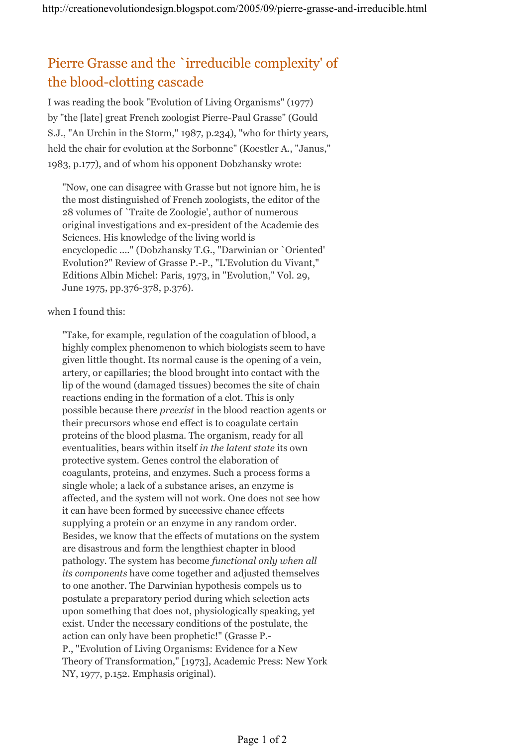## Pierre Grasse and the `irreducible complexity' of the blood-clotting cascade

I was reading the book "Evolution of Living Organisms" (1977) by "the [late] great French zoologist Pierre-Paul Grasse" (Gould S.J., "An Urchin in the Storm," 1987, p.234), "who for thirty years, held the chair for evolution at the Sorbonne" (Koestler A., "Janus," 1983, p.177), and of whom his opponent Dobzhansky wrote:

"Now, one can disagree with Grasse but not ignore him, he is the most distinguished of French zoologists, the editor of the 28 volumes of `Traite de Zoologie', author of numerous original investigations and ex-president of the Academie des Sciences. His knowledge of the living world is encyclopedic ...." (Dobzhansky T.G., "Darwinian or `Oriented' Evolution?" Review of Grasse P.-P., "L'Evolution du Vivant," Editions Albin Michel: Paris, 1973, in "Evolution," Vol. 29, June 1975, pp.376-378, p.376).

when I found this:

"Take, for example, regulation of the coagulation of blood, a highly complex phenomenon to which biologists seem to have given little thought. Its normal cause is the opening of a vein, artery, or capillaries; the blood brought into contact with the lip of the wound (damaged tissues) becomes the site of chain reactions ending in the formation of a clot. This is only possible because there *preexist* in the blood reaction agents or their precursors whose end effect is to coagulate certain proteins of the blood plasma. The organism, ready for all eventualities, bears within itself *in the latent state* its own protective system. Genes control the elaboration of coagulants, proteins, and enzymes. Such a process forms a single whole; a lack of a substance arises, an enzyme is affected, and the system will not work. One does not see how it can have been formed by successive chance effects supplying a protein or an enzyme in any random order. Besides, we know that the effects of mutations on the system are disastrous and form the lengthiest chapter in blood pathology. The system has become *functional only when all its components* have come together and adjusted themselves to one another. The Darwinian hypothesis compels us to postulate a preparatory period during which selection acts upon something that does not, physiologically speaking, yet exist. Under the necessary conditions of the postulate, the action can only have been prophetic!" (Grasse P.- P., "Evolution of Living Organisms: Evidence for a New Theory of Transformation," [1973], Academic Press: New York NY, 1977, p.152. Emphasis original).